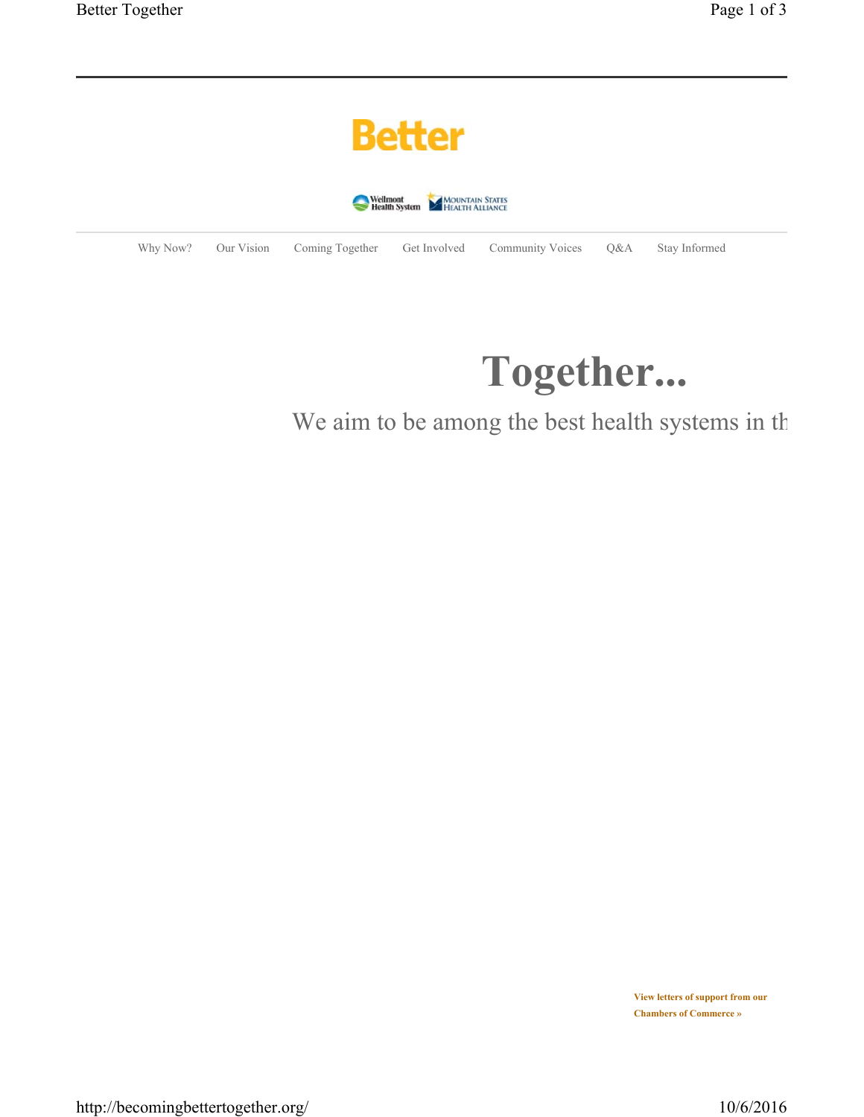|                                              | <b>Better</b> |            |                 |              |                         |     |               |
|----------------------------------------------|---------------|------------|-----------------|--------------|-------------------------|-----|---------------|
| Wellmont<br>Health System<br>HEALTH ALLIANCE |               |            |                 |              |                         |     |               |
|                                              | Why Now?      | Our Vision | Coming Together | Get Involved | <b>Community Voices</b> | Q&A | Stay Informed |

## **Together...**

## We aim to be among the best health systems in th

**View letters of support from our Chambers of Commerce »**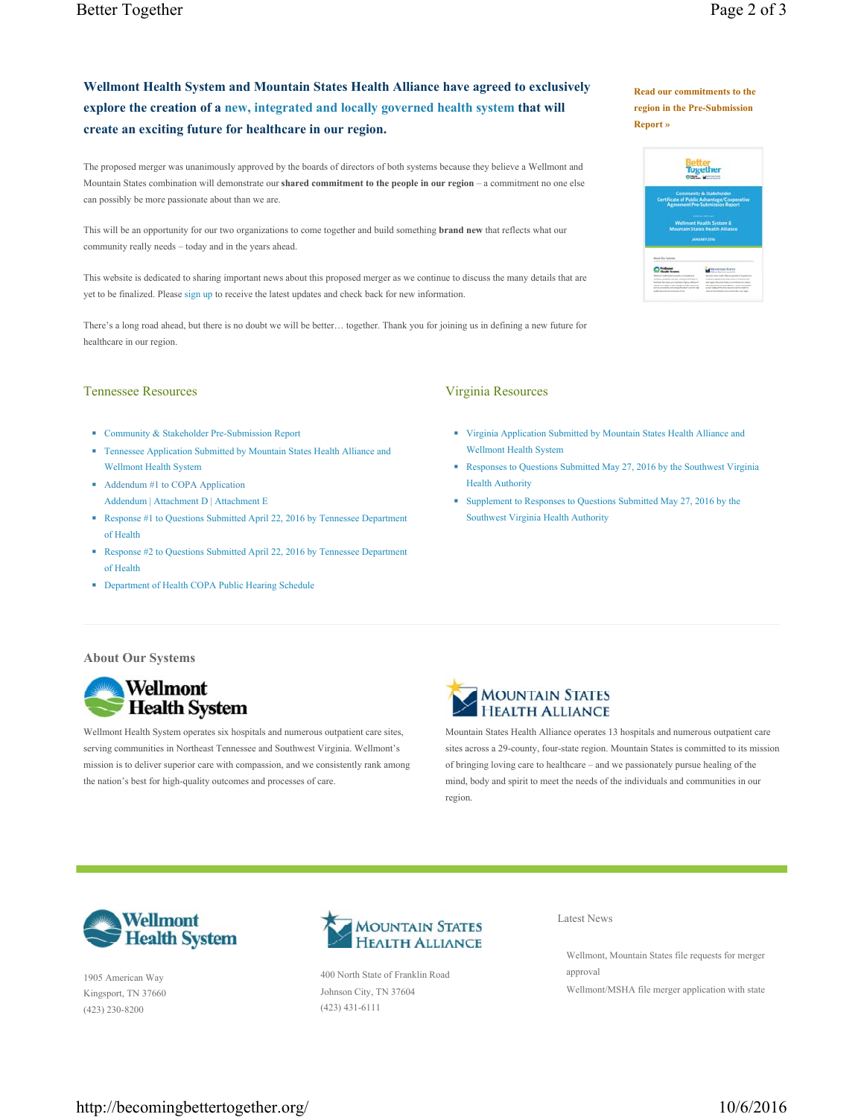**Read our commitments to the region in the Pre-Submission** 

**Report »**

 $Q_{\text{MSE}}$ 

**Management** 

## **Wellmont Health System and Mountain States Health Alliance have agreed to exclusively explore the creation of a new, integrated and locally governed health system that will create an exciting future for healthcare in our region.**

The proposed merger was unanimously approved by the boards of directors of both systems because they believe a Wellmont and Mountain States combination will demonstrate our **shared commitment to the people in our region** – a commitment no one else can possibly be more passionate about than we are.

This will be an opportunity for our two organizations to come together and build something **brand new** that reflects what our community really needs – today and in the years ahead.

This website is dedicated to sharing important news about this proposed merger as we continue to discuss the many details that are yet to be finalized. Please sign up to receive the latest updates and check back for new information.

There's a long road ahead, but there is no doubt we will be better… together. Thank you for joining us in defining a new future for healthcare in our region.

## Tennessee Resources

- Community & Stakeholder Pre-Submission Report
- Tennessee Application Submitted by Mountain States Health Alliance and Wellmont Health System
- Addendum #1 to COPA Application Addendum | Attachment D | Attachment E
- Response #1 to Questions Submitted April 22, 2016 by Tennessee Department of Health
- Response #2 to Questions Submitted April 22, 2016 by Tennessee Department of Health
- Department of Health COPA Public Hearing Schedule

Virginia Resources

- Virginia Application Submitted by Mountain States Health Alliance and Wellmont Health System
- Responses to Questions Submitted May 27, 2016 by the Southwest Virginia Health Authority
- Supplement to Responses to Questions Submitted May 27, 2016 by the Southwest Virginia Health Authority





Wellmont Health System operates six hospitals and numerous outpatient care sites, serving communities in Northeast Tennessee and Southwest Virginia. Wellmont's mission is to deliver superior care with compassion, and we consistently rank among the nation's best for high-quality outcomes and processes of care.



Mountain States Health Alliance operates 13 hospitals and numerous outpatient care sites across a 29-county, four-state region. Mountain States is committed to its mission of bringing loving care to healthcare – and we passionately pursue healing of the mind, body and spirit to meet the needs of the individuals and communities in our region.



1905 American Way Kingsport, TN 37660 (423) 230-8200



400 North State of Franklin Road Johnson City, TN 37604 (423) 431-6111

Latest News

Wellmont, Mountain States file requests for merger approval

Wellmont/MSHA file merger application with state